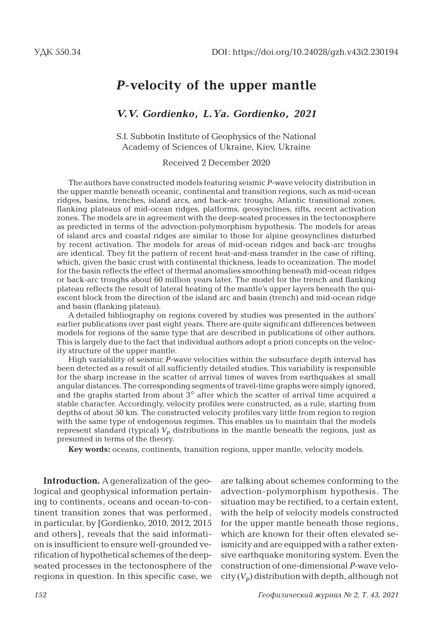# *P***-velocity of the upper mantle**

### *V.V. Gordienko, L.Ya. Gordienko, 2021*

S.I. Subbotin Institute of Geophysics of the National Academy of Sciences of Ukraine, Kiev, Ukraine

#### Received 2 December 2020

The authors have constructed models featuring seismic *P*-wave velocity distribution in the upper mantle beneath oceanic, continental and transition regions, such as mid-ocean ridges, basins, trenches, island arcs, and back-arc troughs, Atlantic transitional zones, flanking plateaus of mid-ocean ridges, platforms, geosynclines, rifts, recent activation zones. The models are in agreement with the deep-seated processes in the tectonosphere as predicted in terms of the advection-polymorphism hypothesis. The models for areas of island arcs and coastal ridges are similar to those for alpine geosynclines disturbed by recent activation. The models for areas of mid-ocean ridges and back-arc troughs are identical. They fit the pattern of recent heat-and-mass transfer in the case of rifting, which, given the basic crust with continental thickness, leads to oceanization. The model for the basin reflects the effect of thermal anomalies smoothing beneath mid-ocean ridges or back-arc troughs about 60 million years later. The model for the trench and flanking plateau reflects the result of lateral heating of the mantle's upper layers beneath the quiescent block from the direction of the island arc and basin (trench) and mid-ocean ridge and basin (flanking plateau).

A detailed bibliography on regions covered by studies was presented in the authors' earlier publications over past eight years. There are quite significant differences between models for regions of the same type that are described in publications of other authors. This is largely due to the fact that individual authors adopt a priori concepts on the velocity structure of the upper mantle.

High variability of seismic *P*-wave velocities within the subsurface depth interval has been detected as a result of all sufficiently detailed studies. This variability is responsible for the sharp increase in the scatter of arrival times of waves from earthquakes at small angular distances. The corresponding segments of travel-time graphs were simply ignored, and the graphs started from about 3° after which the scatter of arrival time acquired a stable character. Accordingly, velocity profiles were constructed, as a rule, starting from depths of about 50 km. The constructed velocity profiles vary little from region to region with the same type of endogenous regimes. This enables us to maintain that the models represent standard (typical)  $V_p$  distributions in the mantle beneath the regions, just as presumed in terms of the theory.

**Key words:** oceans, continents, transition regions, upper mantle, velocity models.

**Introduction.** A generalization of the geological and geophysical information pertaining to continents, oceans and ocean-to-continent transition zones that was performed , in particular, by [Gordienko, 2010, 2012, 2015 and others], reveals that the said information is insufficient to ensure well-grounded verification of hypothetical schemes of the deepseated processes in the tectonosphere of the regions in question. In this specific case, we are talking about schemes conforming to the advection-polymorphism hypothesis. The situation may be rectified, to a certain extent, with the help of velocity models constructed for the upper mantle beneath those regions, which are known for their often elevated seismicity and are equipped with a rather extensive earthquake monitoring system. Even the construction of one-dimensional *P*-wave velo $city (V_p)$  distribution with depth, although not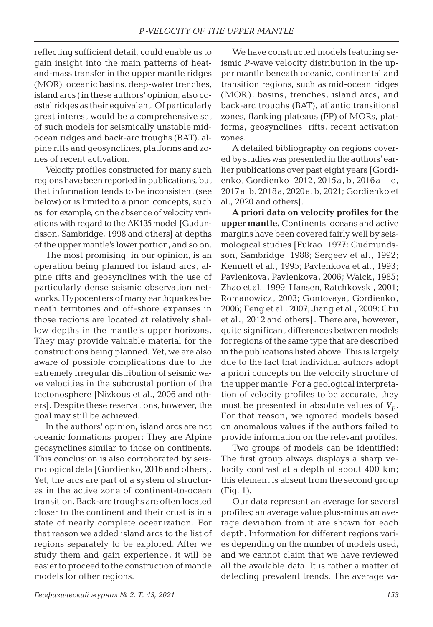reflecting sufficient detail, could enable us to gain insight into the main patterns of heatand-mass transfer in the upper mantle ridges (MOR), oceanic basins, deep-water trenches, island arcs (in these authors' opinion, also coastal ridges as their equivalent. Of particularly great interest would be a comprehensive set of such models for seismically unstable midocean ridges and back-arc troughs (BAT), alpine rifts and geosynclines, platforms and zones of recent activation.

Velocity profiles constructed for many such regions have been reported in publications, but that information tends to be inconsistent (see below) or is limited to a priori concepts, such as, for example, on the absence of velocity variations with regard to the AK135 model [Gudundsson, Sambridge, 1998 and others] at depths of the upper mantle's lower portion, and so on.

The most promising, in our opinion, is an operation being planned for island arcs, alpine rifts and geosynclines with the use of particularly dense seismic observation networks. Hypocenters of many earthquakes beneath territories and off-shore expanses in those regions are located at relatively shallow depths in the mantle's upper horizons. They may provide valuable material for the constructions being planned. Yet, we are also aware of possible complications due to the extremely irregular distribution of seismic wave velocities in the subcrustal portion of the tectonosphere [Nizkous et al., 2006 and others]. Despite these reservations, however, the goal may still be achieved.

In the authors' opinion, island arcs are not oceanic formations proper: They are Alpine geosynclines similar to those on continents. This conclusion is also corroborated by seismological data [Gordienko, 2016 and others]. Yet, the arcs are part of a system of structures in the active zone of continent-to-ocean transition. Back-arc troughs are often located closer to the continent and their crust is in a state of nearly complete oceanization. For that reason we added island arcs to the list of regions separately to be explored. After we study them and gain experience, it will be easier to proceed to the construction of mantle models for other regions.

We have constructed models featuring seismic *P*-wave velocity distribution in the upper mantle beneath oceanic, continental and transition regions, such as mid-ocean ridges (MOR), basins, trenches, island arcs, and back-arc troughs (BAT), atlantic transitional zones, flanking plateaus (FP) of MORs, platforms, geosynclines, rifts, recent activation zones.

A detailed bibliography on regions covered by studies was presented in the authors' earlier publications over past eight years [Gordienko, Gordienko, 2012, 2015a, b, 2016a—с, 2017a, b, 2018a, 2020a, b, 2021; Gordienko et al., 2020 and others].

**A priori data on velocity profiles for the upper mantle.** Continents, oceans and active margins have been covered fairly well by seismological studies [Fukao, 1977; Gudmundsson, Sambridge, 1988; Sergeev et al., 1992; Kennett et al., 1995; Pavlenkova et al., 1993; Pavlenkova, Pavlenkova, 2006; Walck, 1985; Zhao et al., 1999; Hansen, Ratchkovski, 2001; Romanowicz , 2003; Gontovaya, Gordienko, 2006; Feng et al., 2007; Jiang et al., 2009; Chu et al., 2012 and others]. There are, however, quite significant differences between models for regions of the same type that are described in the publications listed above. This is largely due to the fact that individual authors adopt a priori concepts on the velocity structure of the upper mantle. For a geological interpretation of velocity profiles to be accurate, they must be presented in absolute values of  $V_p$ . For that reason, we ignored models based on anomalous values if the authors failed to provide information on the relevant profiles.

Two groups of models can be identified: The first group always displays a sharp velocity contrast at a depth of about 400 km; this element is absent from the second group (Fig. 1).

Our data represent an average for several profiles; an average value plus-minus an average deviation from it are shown for each depth. Information for different regions varies depending on the number of models used, and we cannot claim that we have reviewed all the available data. It is rather a matter of detecting prevalent trends. The average va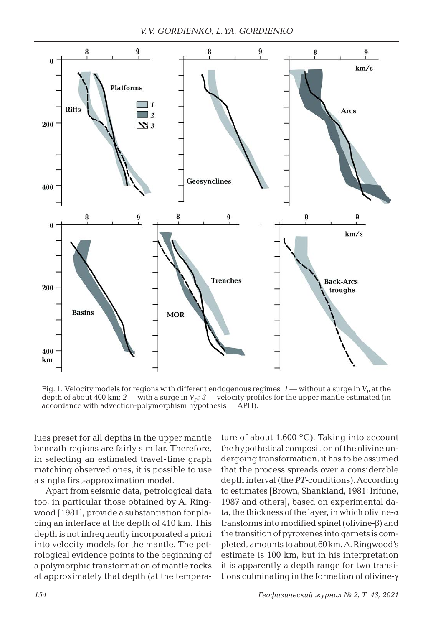*V.V. GORDIENKO, L.YA. GORDIENKO*



Fig. 1. Velocity models for regions with different endogenous regimes:  $1$  — without a surge in  $V_p$  at the depth of about 400 km;  $2$  — with a surge in  $V_p$ ;  $3$  — velocity profiles for the upper mantle estimated (in accordance with advection-polymorphism hypothesis — APH).

lues preset for all depths in the upper mantle beneath regions are fairly similar. Therefore, in selecting an estimated travel-time graph matching observed ones, it is possible to use a single first-approximation model.

Apart from seismic data, petrological data too, in particular those obtained by A. Ringwood [1981], provide a substantiation for placing an interface at the depth of 410 km. This depth is not infrequently incorporated a priori into velocity models for the mantle. The petrological evidence points to the beginning of a polymorphic transformation of mantle rocks at approximately that depth (at the temperature of about  $1,600\text{ °C}$ . Taking into account the hypothetical composition of the olivine undergoing transformation, it has to be assumed that the process spreads over a considerable depth interval (the *PT*-conditions). According to estimates [Brown, Shankland, 1981; Irifune, 1987 and others], based on experimental data, the thickness of the layer, in which olivine- $\alpha$ transforms into modified spinel (olivine-β) and the transition of pyroxenes into garnets is completed, amounts to about 60 km. A. Ringwood's estimate is 100 km, but in his interpretation it is apparently a depth range for two transitions culminating in the formation of olivine-γ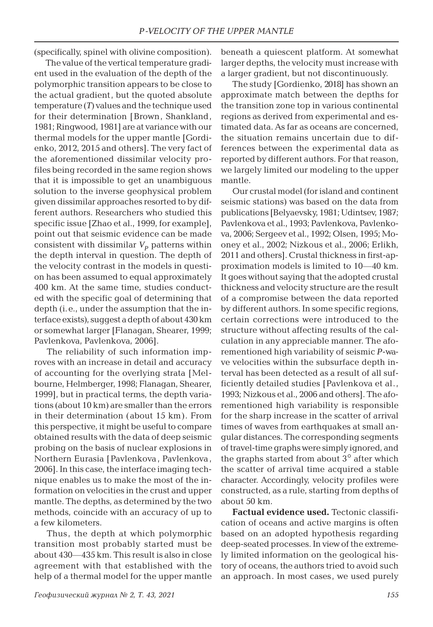(specifically, spinel with olivine composition).

The value of the vertical temperature gradient used in the evaluation of the depth of the polymorphic transition appears to be close to the actual gradient, but the quoted absolute temperature (*T*) values and the technique used for their determination [Brown, Shankland, 1981; Ringwood, 1981] are at variance with our thermal models for the upper mantle [Gordienko, 2012, 2015 and others]. The very fact of the aforementioned dissimilar velocity profiles being recorded in the same region shows that it is impossible to get an unambiguous solution to the inverse geophysical problem given dissimilar approaches resorted to by different authors. Researchers who studied this specific issue [Zhao et al., 1999, for example], point out that seismic evidence can be made consistent with dissimilar  $V_p$  patterns within the depth interval in question. The depth of the velocity contrast in the models in question has been assumed to equal approximately 400 km. At the same time, studies conducted with the specific goal of determining that depth (i.e., under the assumption that the interface exists), suggest a depth of about 430 km or somewhat larger [Flanagan, Shearer, 1999; Pavlenkova, Pavlenkova, 2006].

The reliability of such information improves with an increase in detail and accuracy of accounting for the overlying strata [Melbourne, Helmberger, 1998; Flanagan, Shearer, 1999], but in practical terms, the depth variations (about 10 km) are smaller than the errors in their determination (about 15 km). From this perspective, it might be useful to compare obtained results with the data of deep seismic probing on the basis of nuclear explosions in Northern Eurasia [Pavlenkova , Pavlenkova , 2006]. In this case, the interface imaging technique enables us to make the most of the information on velocities in the crust and upper mantle. The depths, as determined by the two methods, coincide with an accuracy of up to a few kilometers.

Thus, the depth at which polymorphic transition most probably started must be about 430—435 km. This result is also in close agreement with that established with the help of a thermal model for the upper mantle

beneath a quiescent platform. At somewhat larger depths, the velocity must increase with a larger gradient, but not discontinuously.

The study [Gordienko, 2018] has shown an approximate match between the depths for the transition zone top in various continental regions as derived from experimental and estimated data. As far as oceans are concerned, the situation remains uncertain due to differences between the experimental data as reported by different authors. For that reason, we largely limited our modeling to the upper mantle.

Our crustal model (for island and continent seismic stations) was based on the data from publications [Belyaevsky, 1981; Udintsev, 1987; Pavlenkova et al., 1993; Pavlenkova, Pavlenkova, 2006; Sergeev et al., 1992; Olsen, 1995; Mooney et al., 2002; Nizkous et al., 2006; Erlikh, 2011 and others]. Crustal thickness in first-approximation models is limited to 10—40 km. It goes without saying that the adopted crustal thickness and velocity structure are the result of a compromise between the data reported by different authors. In some specific regions, certain corrections were introduced to the structure without affecting results of the calculation in any appreciable manner. The aforementioned high variability of seismic *P*-wave velocities within the subsurface depth interval has been detected as a result of all sufficiently detailed studies [Pavlenkova et al., 1993; Nizkous et al., 2006 and others]. The aforementioned high variability is responsible for the sharp increase in the scatter of arrival times of waves from earthquakes at small angular distances. The corresponding segments of travel-time graphs were simply ignored, and the graphs started from about  $3^\circ$  after which the scatter of arrival time acquired a stable character. Accordingly, velocity profiles were constructed, as a rule, starting from depths of about 50 km.

**Factual evidence used.** Tectonic classification of oceans and active margins is often based on an adopted hypothesis regarding deep-seated processes. In view of the extremely limited information on the geological history of oceans, the authors tried to avoid such an approach. In most cases, we used purely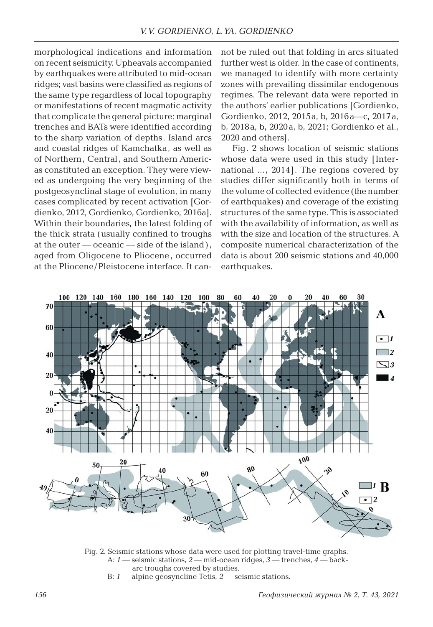morphological indications and information on recent seismicity. Upheavals accompanied by earthquakes were attributed to mid-ocean ridges; vast basins were classified as regions of the same type regardless of local topography or manifestations of recent magmatic activity that complicate the general picture; marginal trenches and BATs were identified according to the sharp variation of depths. Island arcs and coastal ridges of Kamchatka, as well as of Northern, Central, and Southern Americas constituted an exception. They were viewed as undergoing the very beginning of the postgeosynclinal stage of evolution, in many cases complicated by recent activation [Gordienko, 2012, Gordienko, Gordienko, 2016a]. Within their boundaries, the latest folding of the thick strata (usually confined to troughs at the outer  $\sim$  oceanic  $\sim$  side of the island), aged from Oligocene to Pliocene , occurred at the Pliocene/Pleistocene interface. It cannot be ruled out that folding in arcs situated further west is older. In the case of continents, we managed to identify with more certainty zones with prevailing dissimilar endogenous regimes. The relevant data were reported in the authors' earlier publications [Gordienko, Gordienko, 2012, 2015a, b, 2016a—c, 2017a, b, 2018a, b, 2020a, b, 2021; Gordienko et al., 2020 and others].

Fig. 2 shows location of seismic stations whose data were used in this study [International ..., 2014]. The regions covered by studies differ significantly both in terms of the volume of collected evidence (the number of earthquakes) and coverage of the existing structures of the same type. This is associated with the availability of information, as well as with the size and location of the structures. A composite numerical characterization of the data is about 200 seismic stations and 40,000 earthquakes.



Fig. 2. Seismic stations whose data were used for plotting travel-time graphs. A: *1* — seismic stations, *2* — mid-ocean ridges, *3* — trenches, *4* — back arc troughs covered by studies.

B: *1* — alpine geosyncline Tetis, *2* — seismic stations.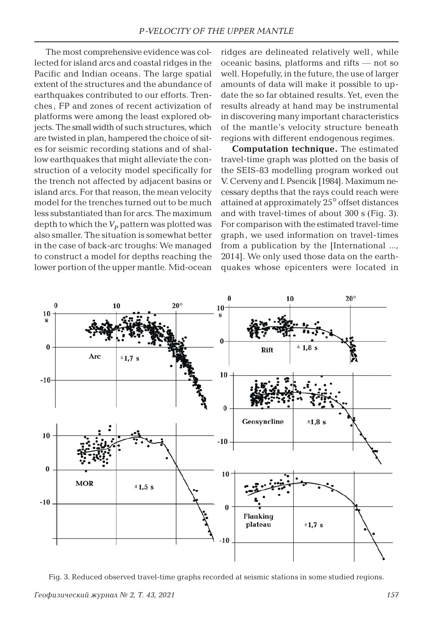The most comprehensive evidence was collected for island arcs and coastal ridges in the Pacific and Indian oceans. The large spatial extent of the structures and the abundance of earthquakes contributed to our efforts. Trenches , FP and zones of recent activization of platforms were among the least explored objects. The small width of such structures, which are twisted in plan, hampered the choice of sites for seismic recording stations and of shallow earthquakes that might alleviate the construction of a velocity model specifically for the trench not affected by adjacent basins or island arcs. For that reason, the mean velocity model for the trenches turned out to be much less substantiated than for arcs. The maximum depth to which the  $V_p$  pattern was plotted was also smaller. The situation is somewhat better in the case of back-arc troughs: We managed to construct a model for depths reaching the lower portion of the upper mantle. Mid-ocean

ridges are delineated relatively well , while oceanic basins, platforms and rifts — not so well. Hopefully, in the future, the use of larger amounts of data will make it possible to update the so far obtained results. Yet, even the results already at hand may be instrumental in discovering many important characteristics of the mantle's velocity structure beneath regions with different endogenous regimes.

**Computation technique.** The estimated travel-time graph was plotted on the basis of the SEIS-83 modelling program worked out V. Cerveny and I. Psencik [1984]. Maximum necessary depths that the rays could reach were attained at approximately 25° offset distances and with travel-times of about 300 s (Fig. 3). For comparison with the estimated travel-time graph, we used information on travel-times from a publication by the [International ..., 2014]. We only used those data on the earthquakes whose epicenters were located in



Fig. 3. Reduced observed travel-time graphs recorded at seismic stations in some studied regions.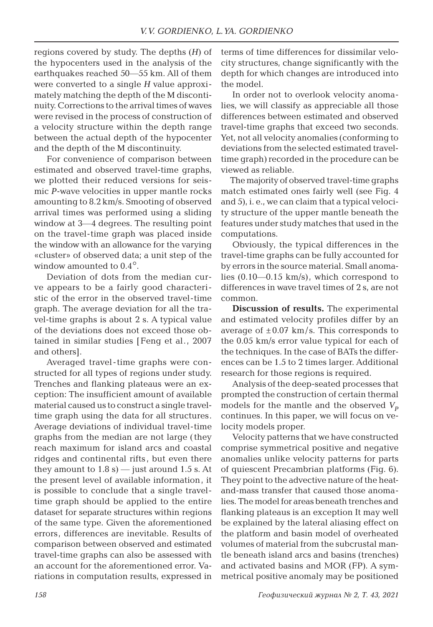regions covered by study. The depths (*H*) of the hypocenters used in the analysis of the earthquakes reached 50—55 km. All of them were converted to a single *H* value approximately matching the depth of the M discontinuity. Corrections to the arrival times of waves were revised in the process of construction of a velocity structure within the depth range between the actual depth of the hypocenter and the depth of the M discontinuity.

For convenience of comparison between estimated and observed travel-time graphs, we plotted their reduced versions for seismic *P*-wave velocities in upper mantle rocks amounting to 8.2 km/s. Smooting of observed arrival times was performed using a sliding window at 3—4 degrees. The resulting point on the travel-time graph was placed inside the window with an allowance for the varying «cluster» of observed data; a unit step of the window amounted to  $0.4^\circ$ .

Deviation of dots from the median curve appears to be a fairly good characteristic of the error in the observed travel-time graph. The average deviation for all the travel-time graphs is about 2 s. A typical value of the deviations does not exceed those obtained in similar studies [Feng et al., 2007 and others].

Averaged travel-time graphs were constructed for all types of regions under study. Trenches and flanking plateaus were an exception: The insufficient amount of available material caused us to construct a single traveltime graph using the data for all structures. Average deviations of individual travel-time graphs from the median are not large (they reach maximum for island arcs and coastal ridges and continental rifts , but even there they amount to  $1.8 \text{ s}$ ) — just around  $1.5 \text{ s}$ . At the present level of available information, it is possible to conclude that a single traveltime graph should be applied to the entire dataset for separate structures within regions of the same type. Given the aforementioned errors, differences are inevitable. Results of comparison between observed and estimated travel-time graphs can also be assessed with an account for the aforementioned error. Variations in computation results, expressed in

terms of time differences for dissimilar velocity structures, change significantly with the depth for which changes are introduced into the model.

In order not to overlook velocity anomalies, we will classify as appreciable all those differences between estimated and observed travel-time graphs that exceed two seconds. Yet, not all velocity anomalies (conforming to deviations from the selected estimated traveltime graph) recorded in the procedure can be viewed as reliable.

The majority of observed travel-time graphs match estimated ones fairly well (see Fig. 4 and 5), i. e., we can claim that a typical velocity structure of the upper mantle beneath the features under study matches that used in the computations.

Obviously, the typical differences in the travel-time graphs can be fully accounted for by errors in the source material. Small anomalies (0.10—0.15 km/s), which correspond to differences in wave travel times of 2 s, are not common.

**Discussion of results.** The experimental and estimated velocity profiles differ by an average of  $\pm 0.07$  km/s. This corresponds to the 0.05 km/s error value typical for each of the techniques. In the case of BATs the differences can be 1.5 to 2 times larger. Additional research for those regions is required.

Analysis of the deep-seated processes that prompted the construction of certain thermal models for the mantle and the observed  $V_p$ continues. In this paper, we will focus on velocity models proper.

Velocity patterns that we have constructed comprise symmetrical positive and negative anomalies unlike velocity patterns for parts of quiescent Precambrian platforms (Fig. 6). They point to the advective nature of the heatand-mass transfer that caused those anomalies. The model for areas beneath trenches and flanking plateaus is an exception It may well be explained by the lateral aliasing effect on the platform and basin model of overheated volumes of material from the subcrustal mantle beneath island arcs and basins (trenches) and activated basins and MOR (FP). A symmetrical positive anomaly may be positioned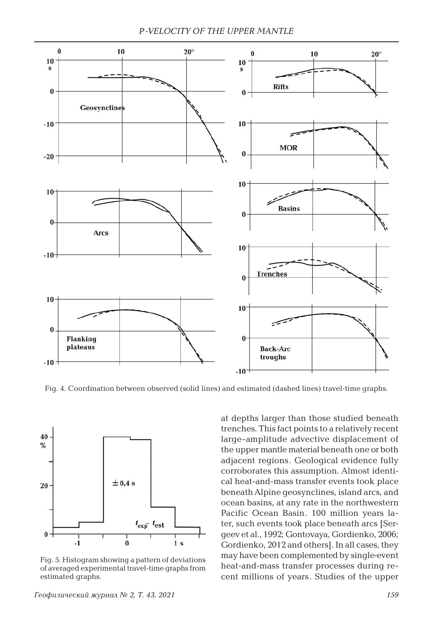

Fig. 4. Coordination between observed (solid lines) and estimated (dashed lines) travel-time graphs.



Fig. 5. Histogram showing a pattern of deviations of averaged experimental travel-time graphs from estimated graphs.

at depths larger than those studied beneath trenches. This fact points to a relatively recent large-amplitude advective displacement of the upper mantle material beneath one or both adjacent regions. Geological evidence fully corroborates this assumption. Almost identical heat-and-mass transfer events took place beneath Alpine geosynclines, island arcs, and ocean basins, at any rate in the northwestern Pacific Ocean Basin. 100 million years later, such events took place beneath arcs [Sergeev et al., 1992; Gontovaya, Gordienko, 2006; Gordienko, 2012 and others]. In all cases, they may have been complemented by single-event heat-and-mass transfer processes during recent millions of years. Studies of the upper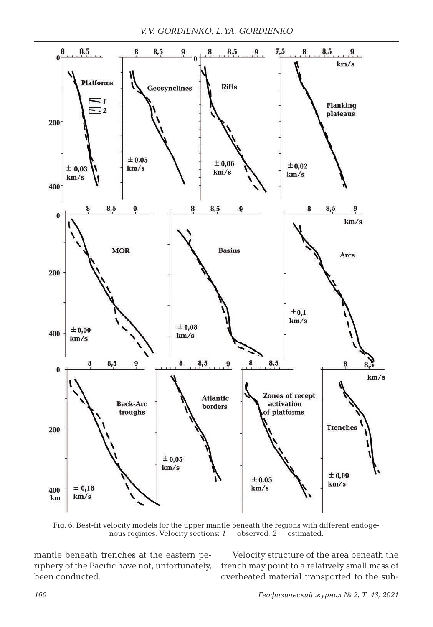

Fig. 6. Best-fit velocity models for the upper mantle beneath the regions with different endogenous regimes. Velocity sections: *1* — observed, *2* — estimated.

mantle beneath trenches at the eastern periphery of the Pacific have not, unfortunately, been conducted.

Velocity structure of the area beneath the trench may point to a relatively small mass of overheated material transported to the sub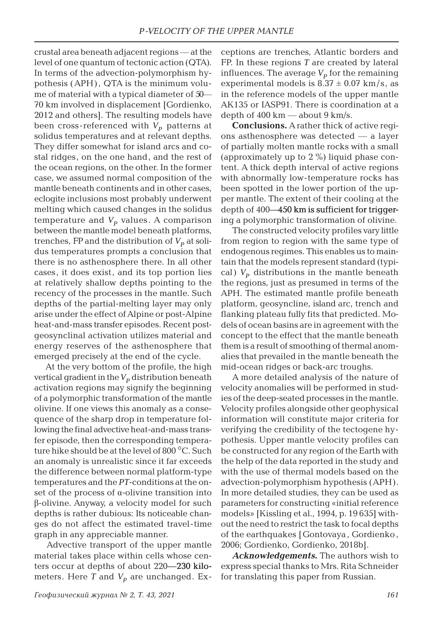crustal area beneath adjacent regions — at the level of one quantum of tectonic action (QTA). In terms of the advection-polymorphism hypothesis (APH) , QTA is the minimum volume of material with a typical diameter of 50— 70 km involved in displacement [Gordienko, 2012 and others]. The resulting models have been cross-referenced with  $V_p$  patterns at solidus temperatures and at relevant depths. They differ somewhat for island arcs and costal ridges, on the one hand, and the rest of the ocean regions, on the other. In the former case, we assumed normal composition of the mantle beneath continents and in other cases, eclogite inclusions most probably underwent melting which caused changes in the solidus temperature and  $V_p$  values. A comparison between the mantle model beneath platforms, trenches, FP and the distribution of  $V_p$  at solidus temperatures prompts a conclusion that there is no asthenosphere there. In all other cases, it does exist, and its top portion lies at relatively shallow depths pointing to the recency of the processes in the mantle. Such depths of the partial-melting layer may only arise under the effect of Alpine or post-Alpine heat-and-mass transfer episodes. Recent postgeosynclinal activation utilizes material and energy reserves of the asthenosphere that emerged precisely at the end of the cycle.

At the very bottom of the profile, the high vertical gradient in the  $V_p$  distribution beneath activation regions may signify the beginning of a polymorphic transformation of the mantle olivine. If one views this anomaly as a consequence of the sharp drop in temperature following the final advective heat-and-mass transfer episode, then the corresponding temperature hike should be at the level of 800 °C. Such an anomaly is unrealistic since it far exceeds the difference between normal platform-type temperatures and the *PT*-conditions at the onset of the process of  $\alpha$ -olivine transition into β-olivine. Anyway, a velocity model for such depths is rather dubious: Its noticeable changes do not affect the estimated travel-time graph in any appreciable manner.

Advective transport of the upper mantle material takes place within cells whose centers occur at depths of about 220—230 kilometers. Here  $T$  and  $V_p$  are unchanged. Exceptions are trenches, Atlantic borders and FP. In these regions *T* are created by lateral influences. The average  $V_p$  for the remaining experimental models is  $8.37 \pm 0.07$  km/s, as in the reference models of the upper mantle AK135 or IASP91. There is coordination at a depth of  $400 \text{ km}$  — about  $9 \text{ km/s}$ .

**Conclusions.** A rather thick of active regions asthenosphere was detected — a layer of partially molten mantle rocks with a small (approximately up to 2 %) liquid phase content. A thick depth interval of active regions with abnormally low-temperature rocks has been spotted in the lower portion of the upper mantle. The extent of their cooling at the depth of  $400-450$  km is sufficient for triggering a polymorphic transformation of olivine.

The constructed velocity profiles vary little from region to region with the same type of endogenous regimes. This enables us to maintain that the models represent standard (typical)  $V_p$  distributions in the mantle beneath the regions, just as presumed in terms of the APH. The estimated mantle profile beneath platform, geosyncline, island arc, trench and flanking plateau fully fits that predicted. Models of ocean basins are in agreement with the concept to the effect that the mantle beneath them is a result of smoothing of thermal anomalies that prevailed in the mantle beneath the mid-ocean ridges or back-arc troughs.

A more detailed analysis of the nature of velocity anomalies will be performed in studies of the deep-seated processes in the mantle. Velocity profiles alongside other geophysical information will constitute major criteria for verifying the credibility of the tectogene hypothesis. Upper mantle velocity profiles can be constructed for any region of the Earth with the help of the data reported in the study and with the use of thermal models based on the advection-polymorphism hypothesis (APH). In more detailed studies, they can be used as parameters for constructing «initial reference models» [Kissling et al., 1994, p. 19 635] without the need to restrict the task to focal depths of the earthquakes [Gontovaya , Gordienko , 2006; Gordienko, Gordienko, 2018b].

*Acknowledgements.* The authors wish to express special thanks to Mrs. Rita Schneider for translating this paper from Russian.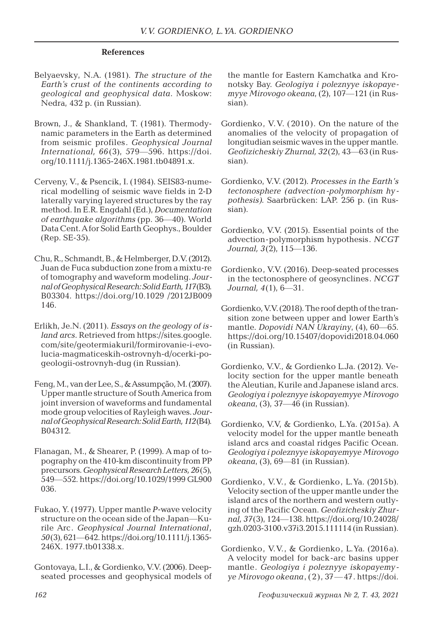#### **References**

- Belyaevsky, N.A. (1981). *The structure of the Earth's crust of the continents according to geological and geophysical data*. Moskow: Nedra, 432 p. (in Russian).
- Brown, J., & Shankland, T. (1981). Thermodynamic parameters in the Earth as determined from seismic profiles. *Geophysical Journal International, 66*(3), 579—596. https://doi. org/10.1111/j.1365-246X.1981.tb04891.x.
- Cerveny, V., & Psencik, I. (1984). SEIS83-numerical modelling of seismic wave fields in 2-D laterally varying layered structures by the ray method. In E.R. Engdahl (Ed.), *Documentation of earthquake algorithms* (pp. 36—40). World Data Cent. A for Solid Earth Geophys., Boulder (Rep. SE-35).
- Chu, R., Schmandt, B., & Helmberger, D.V. (2012). Juan de Fuca subduction zone from a mixtu-re of tomography and waveform modeling. *Journal of Geophysical Research: Solid Earth, 117*(B3). B03304. https://doi.org/10.1029 /2012JB009 146.
- Erlikh, Je.N. (2011). *Essays on the geology of island arcs*. Retrieved from https://sites.google. com/site/geotermiakuril/formirovanie-i-evolucia-magmaticeskih-ostrovnyh-d/ocerki-pogeologii-ostrovnyh-dug (in Russian).
- Feng, M., van der Lee, S., & Assumpção, M. (2007). Upper mantle structure of South America from joint inversion of waveforms and fundamental mode group velocities of Rayleigh waves. *Journal of Geophysical Research: Solid Earth,112*(B4). B04312.
- Flanagan, M., & Shearer, P. (1999). A map of topography on the 410-km discontinuity from PP precursors. *Geophysical Research Letters, 26*(5), 549—552. https://doi.org/10.1029/1999 GL900 036.
- Fukao, Y. (1977). Upper mantle *P*-wave velocity structure on the ocean side of the Japan—Kurile Arc. *Geophysical Journal International, 50*(3), 621—642. https://doi.org/10.1111/j.1365- 246X. 1977.tb01338.x.
- Gontovaya, L.I., & Gordienko, V.V. (2006). Deepseated processes and geophysical models of

the mantle for Eastern Kamchatka and Kronotsky Bay. *Geologiya i poleznyye iskopayemyye Mirovogo okeana*, (2), 107—121 (in Russian).

- Gordienko, V.V. (2010). On the nature of the anomalies of the velocity of propagation of longitudian seismic waves in the upper mantle. *Geofizicheskiy Zhurnal, 32*(2), 43—63 (in Russian).
- Gordienko, V.V. (2012). *Processes in the Earth's tectonosphere (advection-polymorphism hypothesis)*. Saarbrücken: LAP. 256 p. (in Russian).
- Gordienko, V.V. (2015). Essential points of the advection-polymorphism hypothesis. *NCGT Journal, 3*(2), 115—136.
- Gordienko, V.V. (2016). Deep-seated processes in the tectonosphere of geosynclines. *NCGT Journal, 4*(1), 6—31.
- Gordienko, V.V. (2018). The roof depth of the transition zone between upper and lower Earth's mantle. *Dopovidi NAN Ukrayiny*, (4), 60—65. https://doi.org/10.15407/dopovidi2018.04.060 (in Russian).
- Gordienko, V.V., & Gordienko L.Ja. (2012). Velocity section for the upper mantle beneath the Aleutian, Kurile and Japanese island arcs. *Geologiya i poleznyye iskopayemyye Mirovogo okeana*, (3), 37—46 (in Russian).
- Gordienko, V.V, & Gordienko, L.Ya. (2015a). A velocity model for the upper mantle beneath island arcs and coastal ridges Pacific Ocean. *Geologiya i poleznyye iskopayemyye Mirovogo okeana*, (3), 69—81 (in Russian).
- Gordienko, V.V., & Gordienko, L.Ya. (2015b). Velocity section of the upper mantle under the island arcs of the northern and western outlying of the Pacific Ocean. *Geofizicheskiy Zhurnal, 37*(3), 124—138. https://doi.org/10.24028/ gzh.0203-3100.v37i3.2015.111114 (in Russian).
- Gordienko, V.V., & Gordienko, L.Ya. (2016a). A velocity model for back-arc basins upper mantle. *Geologiya i poleznyye iskopayemyye Mirovogo okeana*, (2), 37—47. https://doi.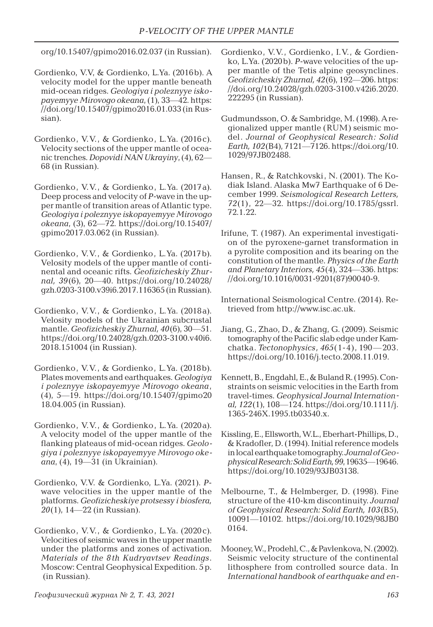org/10.15407/gpimo2016.02.037 (in Russian).

- Gordienko, V.V, & Gordienko, L.Ya. (2016b). A velocity model for the upper mantle beneath mid-ocean ridges. *Geologiya i poleznyye iskopayemyye Mirovogo okeana*, (1), 33—42. https: //doi.org/10.15407/gpimo2016.01.033 (in Russian).
- Gordienko, V.V., & Gordienko, L.Ya. (2016c). Velocity sections of the upper mantle of oceanic trenches. *Dopovidi NAN Ukrayiny*, (4), 62— 68 (in Russian).
- Gordienko, V.V., & Gordienko, L.Ya. (2017a). Deep process and velocity of *P*-wave in the upper mantle of transition areas of Atlantic type. *Geologiya i poleznyye iskopayemyye Mirovogo okeana*, (3), 62—72. https://doi.org/10.15407/ gpimo2017.03.062 (in Russian).
- Gordienko, V.V., & Gordienko, L.Ya. (2017b). Velosity models of the upper mantle of continental and oceanic rifts. *Geofizicheskiy Zhurnal, 39*(6), 20—40. https://doi.org/10.24028/ gzh.0203-3100.v39i6.2017.116365 (in Russian).
- Gordienko, V.V., & Gordienko, L.Ya. (2018a). Velosity models of the Ukrainian subcrustal mantle. *Geofizicheskiy Zhurnal, 40*(6), 30—51. https://doi.org/10.24028/gzh.0203-3100.v40i6. 2018.151004 (in Russian).
- Gordienko, V.V., & Gordienko, L.Ya. (2018b). Plates movements and earthquakes. *Geologiya i poleznyye iskopayemyye Mirovogo okeana*, (4), 5—19. https://doi.org/10.15407/gpimo20 18.04.005 (in Russian).
- Gordienko, V.V., & Gordienko, L.Ya. (2020a). A velocity model of the upper mantle of the flanking plateaus of mid-ocean ridges. *Geologiya i poleznyye iskopayemyye Mirovogo okeana*, (4), 19—31 (in Ukrainian).
- Gordienko, V.V. & Gordienko, L.Ya. (2021). *P*wave velocities in the upper mantle of the platforms. *Geofizicheskiye protsessy i biosfera, 20*(1), 14—22 (in Russian).
- Gordienko, V.V., & Gordienko, L.Ya. (2020c). Velocities of seismic waves in the upper mantle under the platforms and zones of activation. *Materials of the 8th Kudryavtsev Readings*. Moscow: Central Geophysical Expedition. 5 p. (in Russian).
- Gordienko, V.V., Gordienko, I.V., & Gordienko, L.Ya. (2020b). *P*-wave velocities of the upper mantle of the Tetis alpine geosynclines. *Geofizicheskiy Zhurnal, 42*(6), 192—206. https: //doi.org/10.24028/gzh.0203-3100.v42i6.2020. 222295 (in Russian).
- Gudmundsson, O. & Sambridge, M. (1998). A regionalized upper mantle (RUM) seismic model. *Journal of Geophysical Research: Solid Earth, 102*(B4), 7121—7126. https://doi.org/10. 1029/97JB02488.
- Hansen, R., & Ratchkovski, N. (2001). The Kodiak Island. Alaska Mw7 Earthquake of 6 December 1999. *Seismological Research Letters, 72*(1), 22—32. https://doi.org/10.1785/gssrl. 72.1.22.
- Irifune, T. (1987). An experimental investigation of the pyroxene-garnet transformation in a pyrolite composition and its bearing on the constitution of the mantle. *Physics of the Earth and Planetary Interiors, 45*(4), 324—336. https: //doi.org/10.1016/0031-9201(87)90040-9.
- International Seismological Centre. (2014). Retrieved from http://www.isc.ac.uk.
- Jiang, G., Zhao, D., & Zhang, G. (2009). Seismic tomography of the Pacific slab edge under Kamchatka. *Tectonophysics, 465*(1-4), 190—203. https://doi.org/10.1016/j.tecto.2008.11.019.
- Kennett, B., Engdahl, E., & Buland R. (1995). Constraints on seismic velocities in the Earth from travel-times. *Geophysical Journal International, 122*(1), 108—124. https://doi.org/10.1111/j. 1365-246X.1995.tb03540.x.
- Kissling, E., Ellsworth, W.L., Eberhart-Phillips, D., & Kradofler, D. (1994). Initial reference models in local earthquake tomography. *Journal of Geophysical Research: Solid Earth, 99*, 19635—19646. https://doi.org/10.1029/93JB03138.
- Melbourne, T., & Helmberger, D. (1998). Fine structure of the 410-km discontinuity. *Journal of Geophysical Research: Solid Earth, 103*(B5), 10091—10102. https://doi.org/10.1029/98JB0 0164.
- Mooney, W., Prodehl, C., & Pavlenkova, N. (2002). Seismic velocity structure of the continental lithosphere from controlled source data. In *International handbook of earthquake and en-*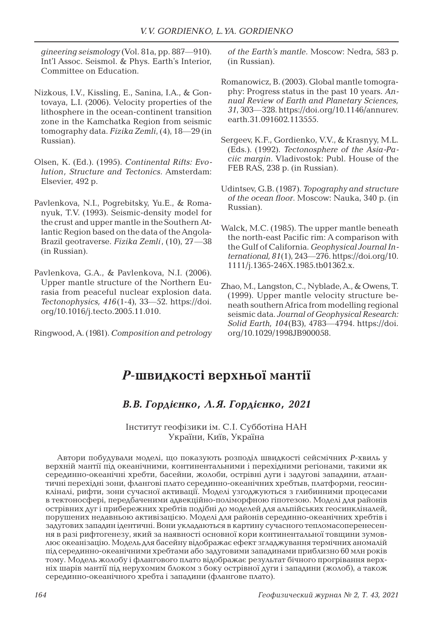*gineering seismology* (Vol. 81a, pp. 887—910). Int'l Assoc. Seismol. & Phys. Earth's Interior, Committee on Education.

- Nizkous, I.V., Kissling, E., Sanina, I.A., & Gontovaya, L.I. (2006). Velocity properties of the lithosphere in the ocean-continent transition zone in the Kamchatka Region from seismic tomography data. *Fizika Zemli*, (4), 18—29 (in Russian).
- Olsen, K. (Ed.). (1995). *Continental Rifts: Evolution, Structure and Tectonics*. Amsterdam: Elsevier, 492 p.
- Pavlenkova, N.I., Pogrebitsky, Yu.E., & Romanyuk, T.V. (1993). Seismic-density model for the crust and upper mantle in the Southern Atlantic Region based on the data of the Angola-Brazil geotraverse. *Fizika Zemli*, (10), 27—38 (in Russian).
- Pavlenkova, G.A., & Pavlenkova, N.I. (2006). Upper mantle structure of the Northern Eurasia from peaceful nuclear explosion data. *Tectonophysics, 416*(1-4), 33—52. https://doi. org/10.1016/j.tecto.2005.11.010.

Ringwood, A. (1981). *Composition and petrology* 

*of the Earth's mantle*. Moscow: Nedra, 583 p. (in Russian).

- Romanowicz, B. (2003). Global mantle tomography: Progress status in the past 10 years. *Annual Review of Earth and Planetary Sciences, 31*, 303—328. https://doi.org/10.1146/annurev. earth.31.091602.113555.
- Sergeev, K.F., Gordienko, V.V., & Krasnyy, M.L. (Eds.). (1992). *Tectonosphere of the Asia-Paciic margin*. Vladivostok: Publ. House of the FEB RAS, 238 p. (in Russian).
- Udintsev, G.B. (1987). *Topography and structure of the ocean floor*. Moscow: Nauka, 340 p. (in Russian).
- Walck, M.C. (1985). The upper mantle beneath the north-east Pacific rim: A comparison with the Gulf of California. *Geophysical Journal International, 81*(1), 243—276. https://doi.org/10. 1111/j.1365-246X.1985.tb01362.x.
- Zhao, M., Langston, C., Nyblade, A., & Owens, T. (1999). Upper mantle velocity structure beneath southern Africa from modelling regional seismic data. *Journal of Geophysical Research: Solid Earth, 104*(B3), 4783—4794. https://doi. org/10.1029/1998JB900058.

# *Р***-швидкості верхньої мантії**

### *В.В. Гордієнко, Л.Я. Гордієнко, 2021*

Інститут геофізики ім. С.І. Субботіна НАН України, Київ, Україна

Автори побудували моделі, що показують розподіл швидкості сейсмічних *P*-хвиль у верхній мантії під океанічними, континентальними і перехідними регіонами, такими як серединно-океанічні хребти, басейни, жолоби, острівні дуги і задугові западини, атлантичні перехідні зони, флангові плато серединно-океанічних хребтыв, платформи, геосинкліналі, рифти, зони сучасної активації. Моделі узгоджуються з глибинними процесами в тектоносфері, передбаченими адвекційно-поліморфною гіпотезою. Моделі для районів острівних дуг і прибережних хребтів подібні до моделей для альпійських геосинкліналей, порушених недавньою активізацією. Моделі для районів серединно-океанічних хребтів і задугових западин ідентичні. Вони укладаються в картину сучасного тепломасоперенесення в разі рифтогенезу, який за наявності основної кори континентальної товщини зумовлює океанізацію. Модель для басейну відображає ефект згладжування термічних аномалій під серединно-океанічними хребтами або задуговими западинами приблизно 60 млн років тому. Модель жолобу і флангового плато відображає результат бічного прогрівання верхніх шарів мантії під нерухомим блоком з боку острівної дуги і западини (жолоб), а також серединно-океанічного хребта і западини (флангове плато).